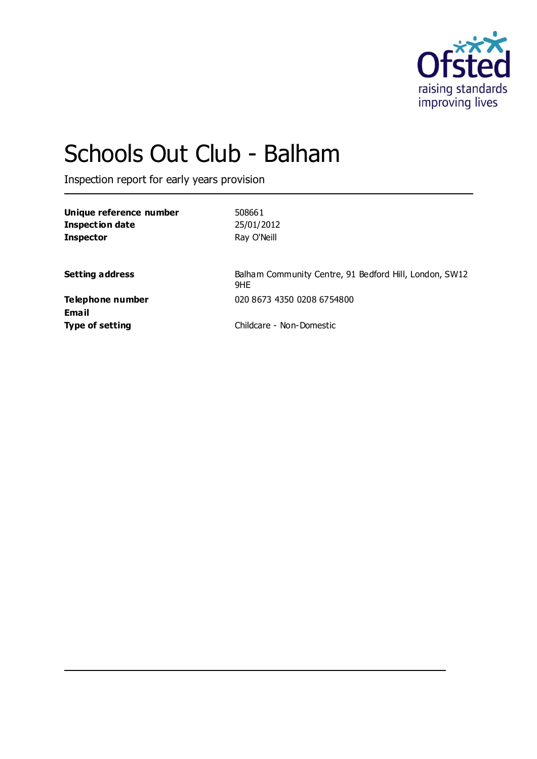

# Schools Out Club - Balham

Inspection report for early years provision

| Unique reference number | 508661                                                        |
|-------------------------|---------------------------------------------------------------|
| <b>Inspection date</b>  | 25/01/2012                                                    |
| <b>Inspector</b>        | Ray O'Neill                                                   |
|                         |                                                               |
| <b>Setting address</b>  | Balham Community Centre, 91 Bedford Hill, London, SW12<br>9HE |
| Telephone number        | 020 8673 4350 0208 6754800                                    |
| Email                   |                                                               |
| <b>Type of setting</b>  | Childcare - Non-Domestic                                      |
|                         |                                                               |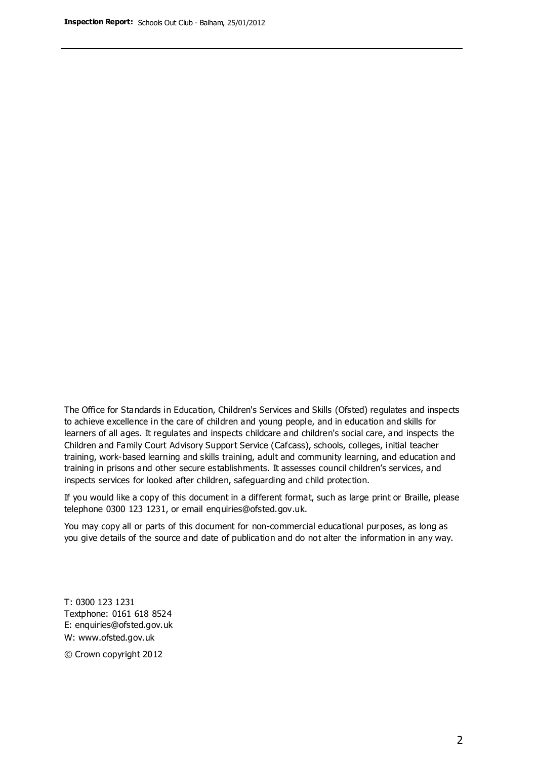The Office for Standards in Education, Children's Services and Skills (Ofsted) regulates and inspects to achieve excellence in the care of children and young people, and in education and skills for learners of all ages. It regulates and inspects childcare and children's social care, and inspects the Children and Family Court Advisory Support Service (Cafcass), schools, colleges, initial teacher training, work-based learning and skills training, adult and community learning, and education and training in prisons and other secure establishments. It assesses council children's services, and inspects services for looked after children, safeguarding and child protection.

If you would like a copy of this document in a different format, such as large print or Braille, please telephone 0300 123 1231, or email enquiries@ofsted.gov.uk.

You may copy all or parts of this document for non-commercial educational purposes, as long as you give details of the source and date of publication and do not alter the information in any way.

T: 0300 123 1231 Textphone: 0161 618 8524 E: enquiries@ofsted.gov.uk W: [www.ofsted.gov.uk](http://www.ofsted.gov.uk/)

© Crown copyright 2012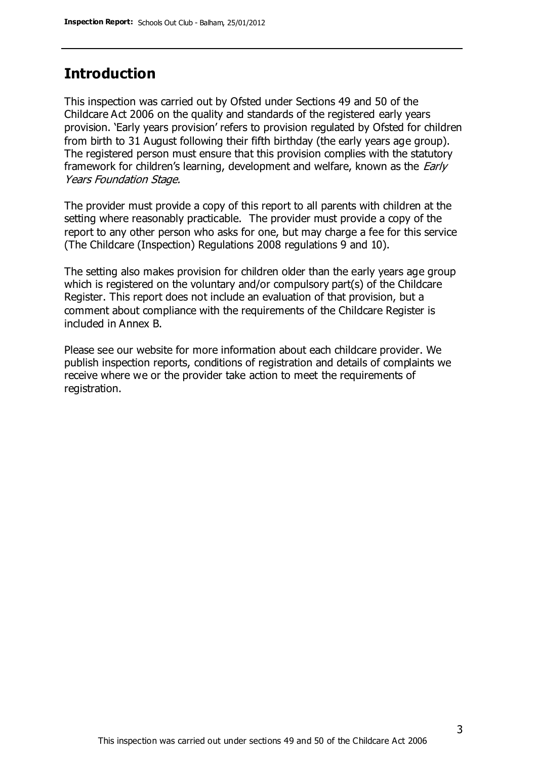## **Introduction**

This inspection was carried out by Ofsted under Sections 49 and 50 of the Childcare Act 2006 on the quality and standards of the registered early years provision. 'Early years provision' refers to provision regulated by Ofsted for children from birth to 31 August following their fifth birthday (the early years age group). The registered person must ensure that this provision complies with the statutory framework for children's learning, development and welfare, known as the *Early* Years Foundation Stage.

The provider must provide a copy of this report to all parents with children at the setting where reasonably practicable. The provider must provide a copy of the report to any other person who asks for one, but may charge a fee for this service (The Childcare (Inspection) Regulations 2008 regulations 9 and 10).

The setting also makes provision for children older than the early years age group which is registered on the voluntary and/or compulsory part(s) of the Childcare Register. This report does not include an evaluation of that provision, but a comment about compliance with the requirements of the Childcare Register is included in Annex B.

Please see our website for more information about each childcare provider. We publish inspection reports, conditions of registration and details of complaints we receive where we or the provider take action to meet the requirements of registration.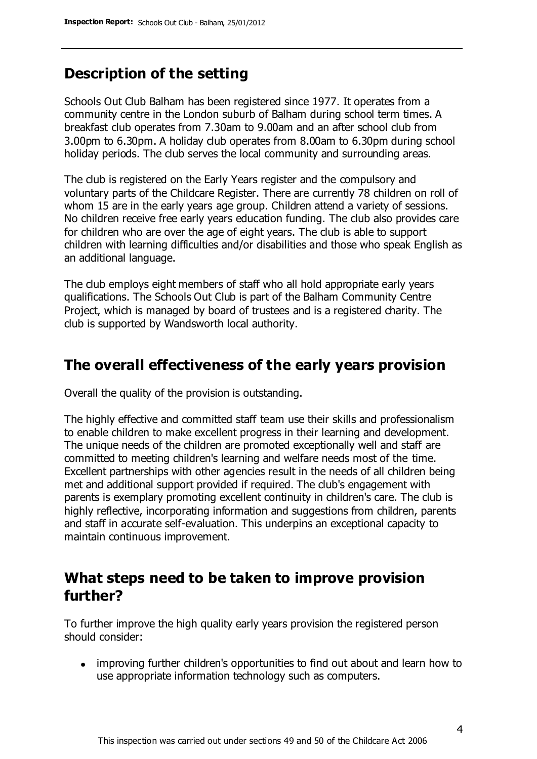# **Description of the setting**

Schools Out Club Balham has been registered since 1977. It operates from a community centre in the London suburb of Balham during school term times. A breakfast club operates from 7.30am to 9.00am and an after school club from 3.00pm to 6.30pm. A holiday club operates from 8.00am to 6.30pm during school holiday periods. The club serves the local community and surrounding areas.

The club is registered on the Early Years register and the compulsory and voluntary parts of the Childcare Register. There are currently 78 children on roll of whom 15 are in the early years age group. Children attend a variety of sessions. No children receive free early years education funding. The club also provides care for children who are over the age of eight years. The club is able to support children with learning difficulties and/or disabilities and those who speak English as an additional language.

The club employs eight members of staff who all hold appropriate early years qualifications. The Schools Out Club is part of the Balham Community Centre Project, which is managed by board of trustees and is a registered charity. The club is supported by Wandsworth local authority.

## **The overall effectiveness of the early years provision**

Overall the quality of the provision is outstanding.

The highly effective and committed staff team use their skills and professionalism to enable children to make excellent progress in their learning and development. The unique needs of the children are promoted exceptionally well and staff are committed to meeting children's learning and welfare needs most of the time. Excellent partnerships with other agencies result in the needs of all children being met and additional support provided if required. The club's engagement with parents is exemplary promoting excellent continuity in children's care. The club is highly reflective, incorporating information and suggestions from children, parents and staff in accurate self-evaluation. This underpins an exceptional capacity to maintain continuous improvement.

## **What steps need to be taken to improve provision further?**

To further improve the high quality early years provision the registered person should consider:

• improving further children's opportunities to find out about and learn how to use appropriate information technology such as computers.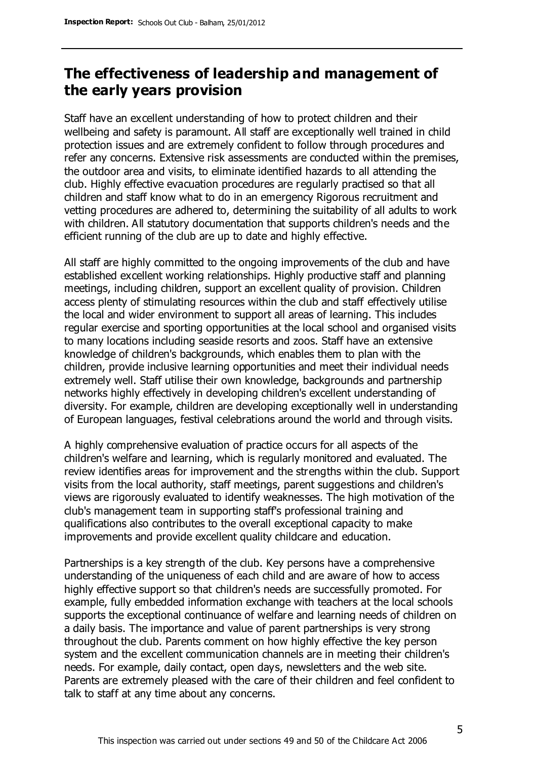# **The effectiveness of leadership and management of the early years provision**

Staff have an excellent understanding of how to protect children and their wellbeing and safety is paramount. All staff are exceptionally well trained in child protection issues and are extremely confident to follow through procedures and refer any concerns. Extensive risk assessments are conducted within the premises, the outdoor area and visits, to eliminate identified hazards to all attending the club. Highly effective evacuation procedures are regularly practised so that all children and staff know what to do in an emergency Rigorous recruitment and vetting procedures are adhered to, determining the suitability of all adults to work with children. All statutory documentation that supports children's needs and the efficient running of the club are up to date and highly effective.

All staff are highly committed to the ongoing improvements of the club and have established excellent working relationships. Highly productive staff and planning meetings, including children, support an excellent quality of provision. Children access plenty of stimulating resources within the club and staff effectively utilise the local and wider environment to support all areas of learning. This includes regular exercise and sporting opportunities at the local school and organised visits to many locations including seaside resorts and zoos. Staff have an extensive knowledge of children's backgrounds, which enables them to plan with the children, provide inclusive learning opportunities and meet their individual needs extremely well. Staff utilise their own knowledge, backgrounds and partnership networks highly effectively in developing children's excellent understanding of diversity. For example, children are developing exceptionally well in understanding of European languages, festival celebrations around the world and through visits.

A highly comprehensive evaluation of practice occurs for all aspects of the children's welfare and learning, which is regularly monitored and evaluated. The review identifies areas for improvement and the strengths within the club. Support visits from the local authority, staff meetings, parent suggestions and children's views are rigorously evaluated to identify weaknesses. The high motivation of the club's management team in supporting staff's professional training and qualifications also contributes to the overall exceptional capacity to make improvements and provide excellent quality childcare and education.

Partnerships is a key strength of the club. Key persons have a comprehensive understanding of the uniqueness of each child and are aware of how to access highly effective support so that children's needs are successfully promoted. For example, fully embedded information exchange with teachers at the local schools supports the exceptional continuance of welfare and learning needs of children on a daily basis. The importance and value of parent partnerships is very strong throughout the club. Parents comment on how highly effective the key person system and the excellent communication channels are in meeting their children's needs. For example, daily contact, open days, newsletters and the web site. Parents are extremely pleased with the care of their children and feel confident to talk to staff at any time about any concerns.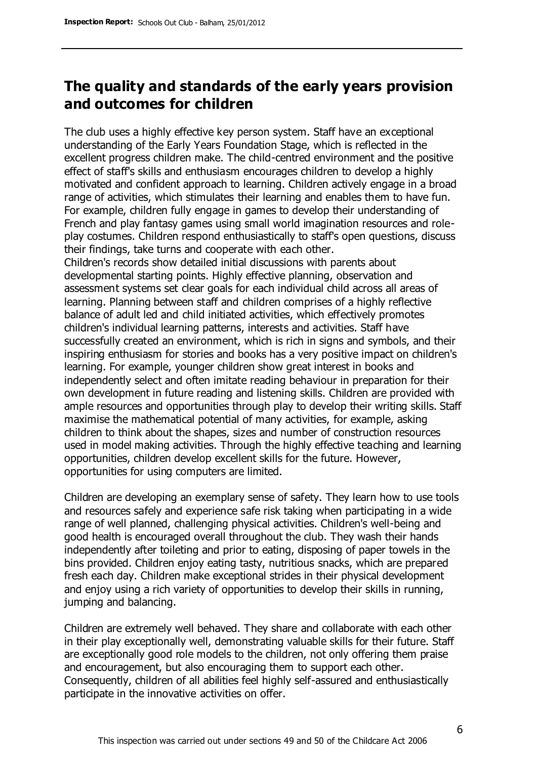# **The quality and standards of the early years provision and outcomes for children**

The club uses a highly effective key person system. Staff have an exceptional understanding of the Early Years Foundation Stage, which is reflected in the excellent progress children make. The child-centred environment and the positive effect of staff's skills and enthusiasm encourages children to develop a highly motivated and confident approach to learning. Children actively engage in a broad range of activities, which stimulates their learning and enables them to have fun. For example, children fully engage in games to develop their understanding of French and play fantasy games using small world imagination resources and roleplay costumes. Children respond enthusiastically to staff's open questions, discuss their findings, take turns and cooperate with each other.

Children's records show detailed initial discussions with parents about developmental starting points. Highly effective planning, observation and assessment systems set clear goals for each individual child across all areas of learning. Planning between staff and children comprises of a highly reflective balance of adult led and child initiated activities, which effectively promotes children's individual learning patterns, interests and activities. Staff have successfully created an environment, which is rich in signs and symbols, and their inspiring enthusiasm for stories and books has a very positive impact on children's learning. For example, younger children show great interest in books and independently select and often imitate reading behaviour in preparation for their own development in future reading and listening skills. Children are provided with ample resources and opportunities through play to develop their writing skills. Staff maximise the mathematical potential of many activities, for example, asking children to think about the shapes, sizes and number of construction resources used in model making activities. Through the highly effective teaching and learning opportunities, children develop excellent skills for the future. However, opportunities for using computers are limited.

Children are developing an exemplary sense of safety. They learn how to use tools and resources safely and experience safe risk taking when participating in a wide range of well planned, challenging physical activities. Children's well-being and good health is encouraged overall throughout the club. They wash their hands independently after toileting and prior to eating, disposing of paper towels in the bins provided. Children enjoy eating tasty, nutritious snacks, which are prepared fresh each day. Children make exceptional strides in their physical development and enjoy using a rich variety of opportunities to develop their skills in running, jumping and balancing.

Children are extremely well behaved. They share and collaborate with each other in their play exceptionally well, demonstrating valuable skills for their future. Staff are exceptionally good role models to the children, not only offering them praise and encouragement, but also encouraging them to support each other. Consequently, children of all abilities feel highly self-assured and enthusiastically participate in the innovative activities on offer.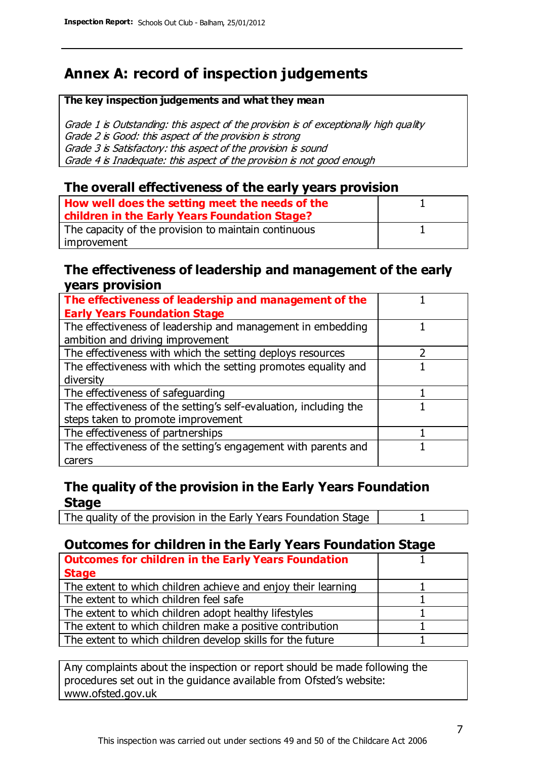# **Annex A: record of inspection judgements**

#### **The key inspection judgements and what they mean**

Grade 1 is Outstanding: this aspect of the provision is of exceptionally high quality Grade 2 is Good: this aspect of the provision is strong Grade 3 is Satisfactory: this aspect of the provision is sound Grade 4 is Inadequate: this aspect of the provision is not good enough

### **The overall effectiveness of the early years provision**

| How well does the setting meet the needs of the      |  |
|------------------------------------------------------|--|
| children in the Early Years Foundation Stage?        |  |
| The capacity of the provision to maintain continuous |  |
| improvement                                          |  |

### **The effectiveness of leadership and management of the early years provision**

| The effectiveness of leadership and management of the             |  |
|-------------------------------------------------------------------|--|
| <b>Early Years Foundation Stage</b>                               |  |
| The effectiveness of leadership and management in embedding       |  |
| ambition and driving improvement                                  |  |
| The effectiveness with which the setting deploys resources        |  |
| The effectiveness with which the setting promotes equality and    |  |
| diversity                                                         |  |
| The effectiveness of safeguarding                                 |  |
| The effectiveness of the setting's self-evaluation, including the |  |
| steps taken to promote improvement                                |  |
| The effectiveness of partnerships                                 |  |
| The effectiveness of the setting's engagement with parents and    |  |
| carers                                                            |  |

## **The quality of the provision in the Early Years Foundation Stage**

The quality of the provision in the Early Years Foundation Stage | 1

## **Outcomes for children in the Early Years Foundation Stage**

| <b>Outcomes for children in the Early Years Foundation</b>    |  |
|---------------------------------------------------------------|--|
| <b>Stage</b>                                                  |  |
| The extent to which children achieve and enjoy their learning |  |
| The extent to which children feel safe                        |  |
| The extent to which children adopt healthy lifestyles         |  |
| The extent to which children make a positive contribution     |  |
| The extent to which children develop skills for the future    |  |

Any complaints about the inspection or report should be made following the procedures set out in the guidance available from Ofsted's website: www.ofsted.gov.uk